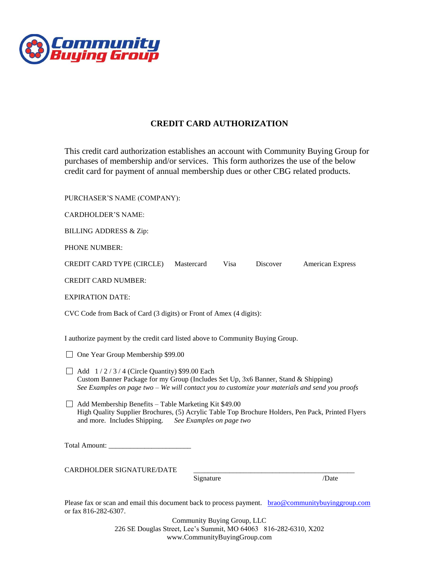

## **CREDIT CARD AUTHORIZATION**

This credit card authorization establishes an account with Community Buying Group for purchases of membership and/or services. This form authorizes the use of the below credit card for payment of annual membership dues or other CBG related products.

PURCHASER'S NAME (COMPANY):

CARDHOLDER'S NAME:

BILLING ADDRESS & Zip:

PHONE NUMBER:

CREDIT CARD TYPE (CIRCLE) Mastercard Visa Discover American Express

CREDIT CARD NUMBER:

EXPIRATION DATE:

CVC Code from Back of Card (3 digits) or Front of Amex (4 digits):

I authorize payment by the credit card listed above to Community Buying Group.

□ One Year Group Membership \$99.00

- $\Box$  Add  $1/2/3/4$  (Circle Quantity) \$99.00 Each Custom Banner Package for my Group (Includes Set Up, 3x6 Banner, Stand & Shipping) *See Examples on page two – We will contact you to customize your materials and send you proofs*
- $\Box$  Add Membership Benefits Table Marketing Kit \$49.00 High Quality Supplier Brochures, (5) Acrylic Table Top Brochure Holders, Pen Pack, Printed Flyers and more. Includes Shipping. *See Examples on page two*

Total Amount: \_\_\_\_\_\_\_\_\_\_\_\_\_\_\_\_\_\_\_\_\_\_\_

CARDHOLDER SIGNATURE/DATE

Signature /Date

Please fax or scan and email this document back to process payment. [brao@communitybuyinggroup.com](mailto:brao@communitybuyinggroup.com) or fax 816-282-6307.

> Community Buying Group, LLC 226 SE Douglas Street, Lee's Summit, MO 64063 816-282-6310, X202 www.CommunityBuyingGroup.com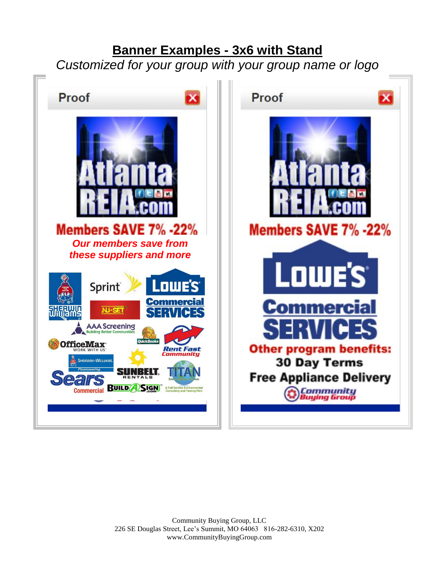## **Banner Examples - 3x6 with Stand**

*Customized for your group with your group name or logo*